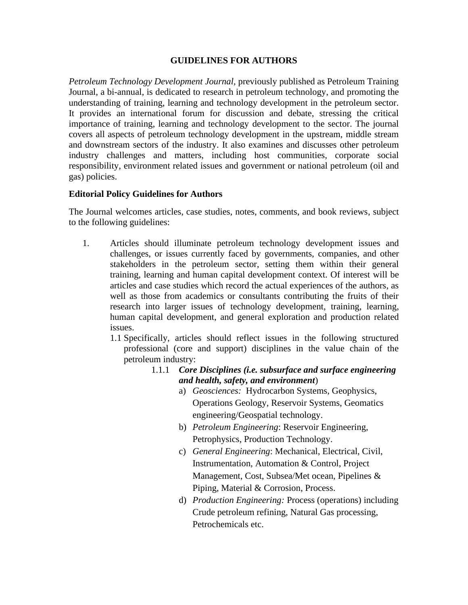## **GUIDELINES FOR AUTHORS**

*Petroleum Technology Development Journal,* previously published as Petroleum Training Journal, a bi-annual*,* is dedicated to research in petroleum technology, and promoting the understanding of training, learning and technology development in the petroleum sector. It provides an international forum for discussion and debate, stressing the critical importance of training, learning and technology development to the sector. The journal covers all aspects of petroleum technology development in the upstream, middle stream and downstream sectors of the industry. It also examines and discusses other petroleum industry challenges and matters, including host communities, corporate social responsibility, environment related issues and government or national petroleum (oil and gas) policies.

## **Editorial Policy Guidelines for Authors**

The Journal welcomes articles, case studies, notes, comments, and book reviews, subject to the following guidelines:

- 1. Articles should illuminate petroleum technology development issues and challenges, or issues currently faced by governments, companies, and other stakeholders in the petroleum sector, setting them within their general training, learning and human capital development context. Of interest will be articles and case studies which record the actual experiences of the authors, as well as those from academics or consultants contributing the fruits of their research into larger issues of technology development, training, learning, human capital development, and general exploration and production related issues.
	- 1.1 Specifically, articles should reflect issues in the following structured professional (core and support) disciplines in the value chain of the petroleum industry:
		- 1.1.1 *Core Disciplines (i.e. subsurface and surface engineering and health, safety, and environment*)
			- a) *Geosciences:* Hydrocarbon Systems, Geophysics, Operations Geology, Reservoir Systems, Geomatics engineering/Geospatial technology.
			- b) *Petroleum Engineering*: Reservoir Engineering, Petrophysics, Production Technology.
			- c) *General Engineering*: Mechanical, Electrical, Civil, Instrumentation, Automation & Control, Project Management, Cost, Subsea/Met ocean, Pipelines & Piping, Material & Corrosion, Process.
			- d) *Production Engineering:* Process (operations) including Crude petroleum refining, Natural Gas processing, Petrochemicals etc.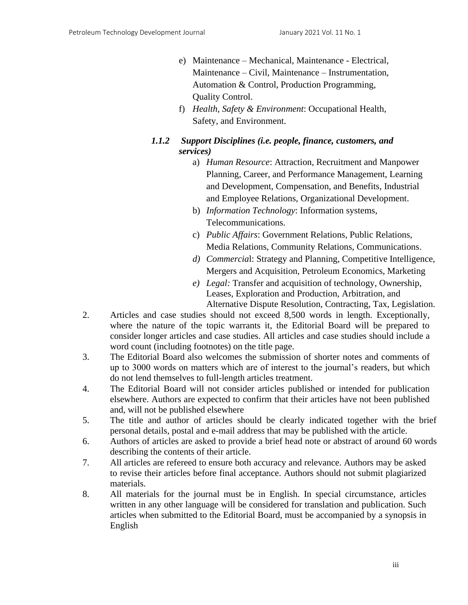- e) Maintenance Mechanical, Maintenance Electrical, Maintenance – Civil, Maintenance – Instrumentation, Automation & Control, Production Programming, Quality Control.
- f) *Health, Safety & Environment*: Occupational Health, Safety, and Environment.
- *1.1.2 Support Disciplines (i.e. people, finance, customers, and services)*
	- a) *Human Resource*: Attraction, Recruitment and Manpower Planning, Career, and Performance Management, Learning and Development, Compensation, and Benefits, Industrial and Employee Relations, Organizational Development.
	- b) *Information Technology*: Information systems, Telecommunications.
	- c) *Public Affairs*: Government Relations, Public Relations, Media Relations, Community Relations, Communications.
	- *d) Commercia*l: Strategy and Planning, Competitive Intelligence, Mergers and Acquisition, Petroleum Economics, Marketing
	- *e) Legal:* Transfer and acquisition of technology, Ownership, Leases, Exploration and Production, Arbitration, and Alternative Dispute Resolution, Contracting, Tax, Legislation.
- 2. Articles and case studies should not exceed 8,500 words in length. Exceptionally, where the nature of the topic warrants it, the Editorial Board will be prepared to consider longer articles and case studies. All articles and case studies should include a word count (including footnotes) on the title page.
- 3. The Editorial Board also welcomes the submission of shorter notes and comments of up to 3000 words on matters which are of interest to the journal's readers, but which do not lend themselves to full-length articles treatment.
- 4. The Editorial Board will not consider articles published or intended for publication elsewhere. Authors are expected to confirm that their articles have not been published and, will not be published elsewhere
- 5. The title and author of articles should be clearly indicated together with the brief personal details, postal and e-mail address that may be published with the article.
- 6. Authors of articles are asked to provide a brief head note or abstract of around 60 words describing the contents of their article.
- 7. All articles are refereed to ensure both accuracy and relevance. Authors may be asked to revise their articles before final acceptance. Authors should not submit plagiarized materials.
- 8. All materials for the journal must be in English. In special circumstance, articles written in any other language will be considered for translation and publication. Such articles when submitted to the Editorial Board, must be accompanied by a synopsis in English